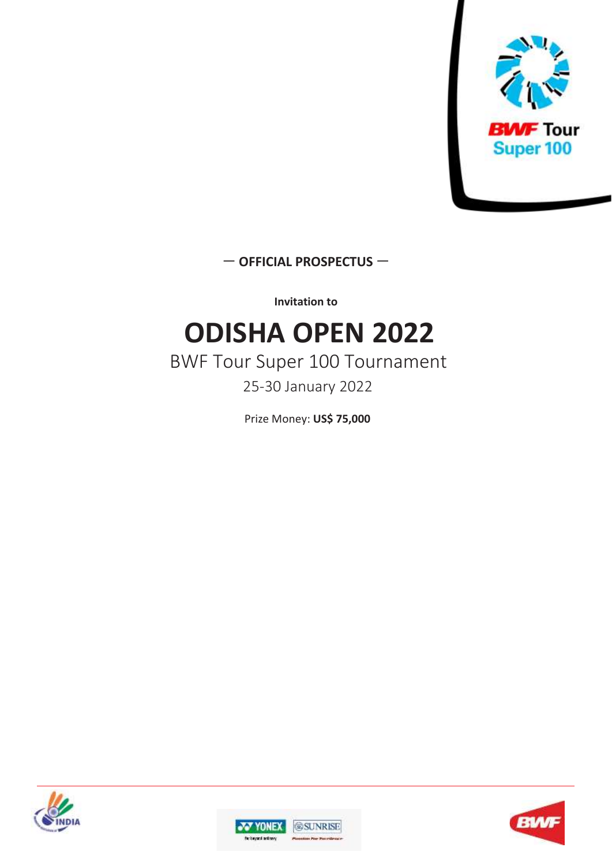

— **OFFICIAL PROSPECTUS** —

**Invitation to**

# **ODISHA OPEN 2022**

### BWF Tour Super 100 Tournament 25-30 January 2022

Prize Money: **US\$ 75,000**





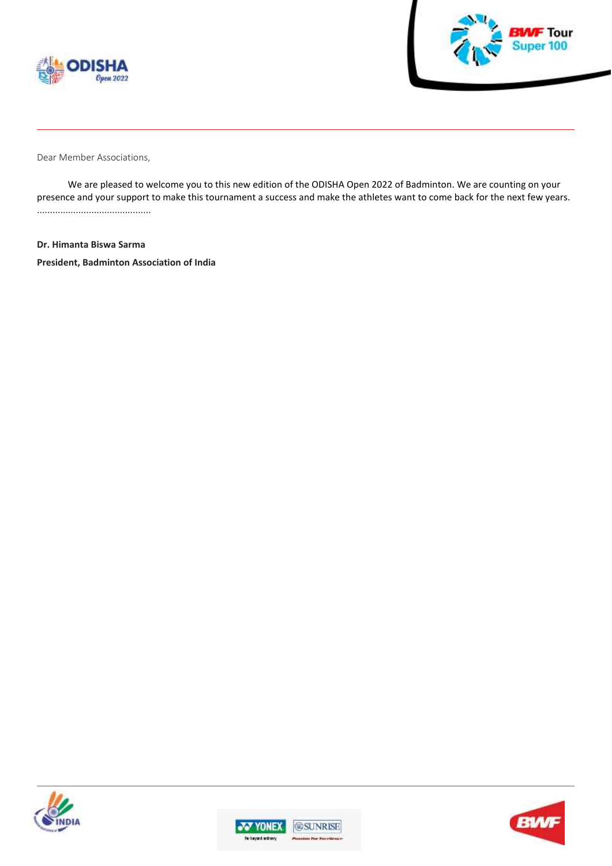



Dear Member Associations,

We are pleased to welcome you to this new edition of the ODISHA Open 2022 of Badminton. We are counting on your presence and your support to make this tournament a success and make the athletes want to come back for the next few years. ............................................

**Dr. Himanta Biswa Sarma President, Badminton Association of India**





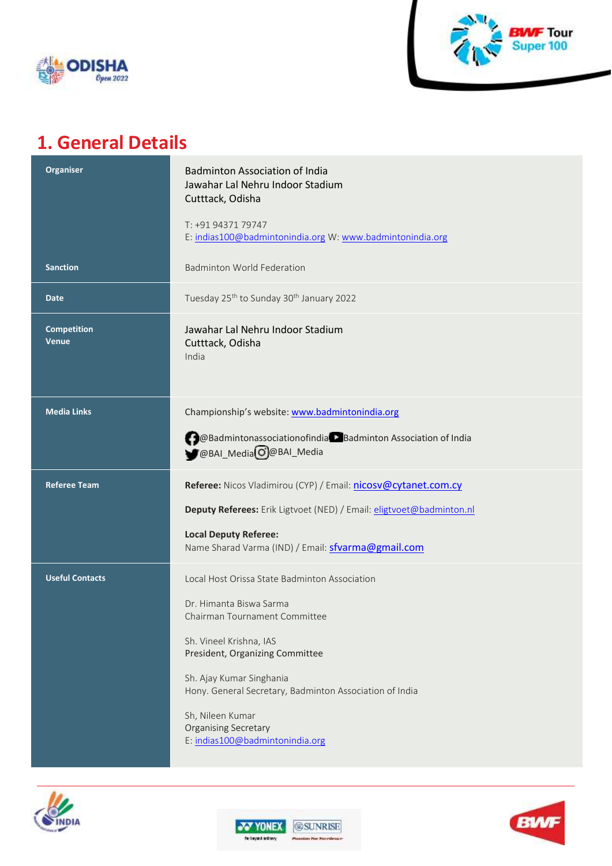



### **1. General Details**

| <b>Organiser</b>                   | <b>Badminton Association of India</b><br>Jawahar Lal Nehru Indoor Stadium<br>Cutttack, Odisha |
|------------------------------------|-----------------------------------------------------------------------------------------------|
|                                    | T: +91 94371 79747<br>E: indias100@badmintonindia.org W: www.badmintonindia.org               |
| <b>Sanction</b>                    | <b>Badminton World Federation</b>                                                             |
| Date                               | Tuesday 25 <sup>th</sup> to Sunday 30 <sup>th</sup> January 2022                              |
| <b>Competition</b><br><b>Venue</b> | Jawahar Lal Nehru Indoor Stadium<br>Cutttack, Odisha<br>India                                 |
| <b>Media Links</b>                 | Championship's website: www.badmintonindia.org                                                |
|                                    | @Badmintonassociationofindia > Badminton Association of India<br>@BAI_MediaO@BAI_Media        |
| <b>Referee Team</b>                | Referee: Nicos Vladimirou (CYP) / Email: nicosv@cytanet.com.cy                                |
|                                    | Deputy Referees: Erik Ligtvoet (NED) / Email: eligtvoet@badminton.nl                          |
|                                    | <b>Local Deputy Referee:</b><br>Name Sharad Varma (IND) / Email: sfvarma@gmail.com            |
| <b>Useful Contacts</b>             | Local Host Orissa State Badminton Association                                                 |
|                                    | Dr. Himanta Biswa Sarma<br>Chairman Tournament Committee                                      |
|                                    | Sh. Vineel Krishna, IAS<br>President, Organizing Committee                                    |
|                                    | Sh. Ajay Kumar Singhania<br>Hony. General Secretary, Badminton Association of India           |
|                                    | Sh, Nileen Kumar<br><b>Organising Secretary</b><br>E: indias100@badmintonindia.org            |







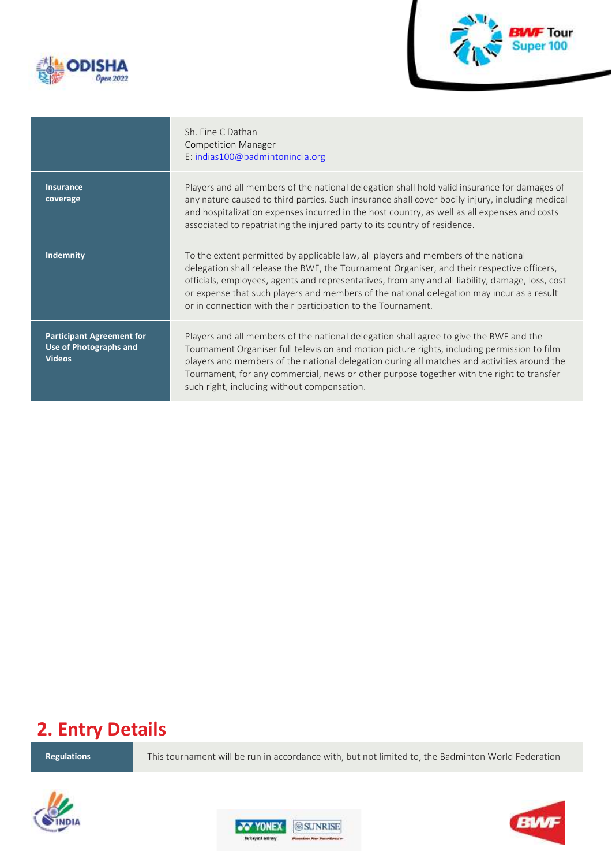



#### Sh. Fine C Dathan Competition Manager E: [indias100@badmintonindia.org](mailto:indias100@badmintonindia.org)

**Insurance coverage**

Players and all members of the national delegation shall hold valid insurance for damages of any nature caused to third parties. Such insurance shall cover bodily injury, including medical and hospitalization expenses incurred in the host country, as well as all expenses and costs associated to repatriating the injured party to its country of residence.

**Indemnity To the extent permitted by applicable law, all players and members of the national** delegation shall release the BWF, the Tournament Organiser, and their respective officers, officials, employees, agents and representatives, from any and all liability, damage, loss, cost or expense that such players and members of the national delegation may incur as a result or in connection with their participation to the Tournament.

**Participant Agreement for Use of Photographs and Videos**

Players and all members of the national delegation shall agree to give the BWF and the Tournament Organiser full television and motion picture rights, including permission to film players and members of the national delegation during all matches and activities around the Tournament, for any commercial, news or other purpose together with the right to transfer such right, including without compensation.

### **2. Entry Details**

**Regulations** This tournament will be run in accordance with, but not limited to, the Badminton World Federation





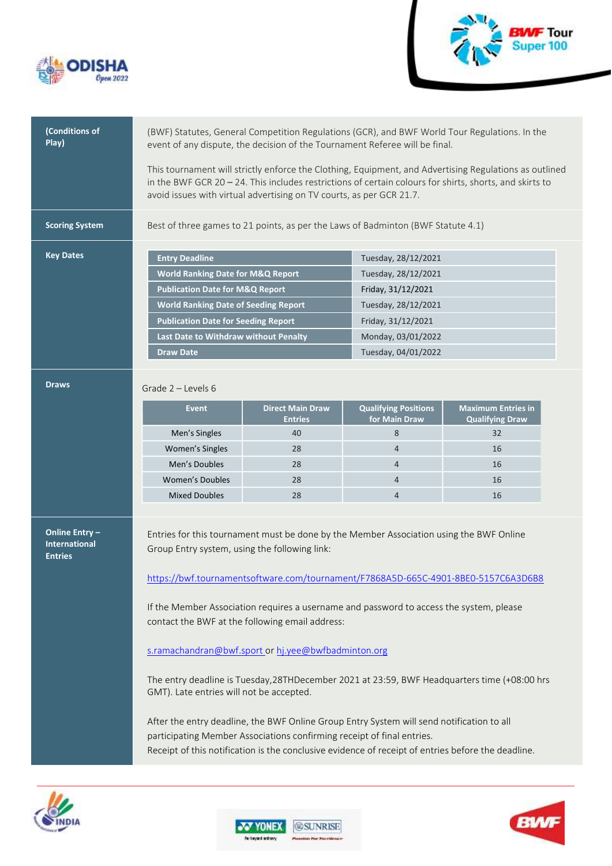



| (Conditions of<br>Play)                                  | (BWF) Statutes, General Competition Regulations (GCR), and BWF World Tour Regulations. In the<br>event of any dispute, the decision of the Tournament Referee will be final.                                                                                                                 |                                                                                                                                                                                                                                                                           |                                              |                                                     |  |
|----------------------------------------------------------|----------------------------------------------------------------------------------------------------------------------------------------------------------------------------------------------------------------------------------------------------------------------------------------------|---------------------------------------------------------------------------------------------------------------------------------------------------------------------------------------------------------------------------------------------------------------------------|----------------------------------------------|-----------------------------------------------------|--|
|                                                          | This tournament will strictly enforce the Clothing, Equipment, and Advertising Regulations as outlined<br>in the BWF GCR $20 - 24$ . This includes restrictions of certain colours for shirts, shorts, and skirts to<br>avoid issues with virtual advertising on TV courts, as per GCR 21.7. |                                                                                                                                                                                                                                                                           |                                              |                                                     |  |
| <b>Scoring System</b>                                    |                                                                                                                                                                                                                                                                                              | Best of three games to 21 points, as per the Laws of Badminton (BWF Statute 4.1)                                                                                                                                                                                          |                                              |                                                     |  |
| <b>Key Dates</b>                                         | <b>Entry Deadline</b>                                                                                                                                                                                                                                                                        |                                                                                                                                                                                                                                                                           | Tuesday, 28/12/2021                          |                                                     |  |
|                                                          | <b>World Ranking Date for M&amp;Q Report</b>                                                                                                                                                                                                                                                 |                                                                                                                                                                                                                                                                           | Tuesday, 28/12/2021                          |                                                     |  |
|                                                          | <b>Publication Date for M&amp;Q Report</b>                                                                                                                                                                                                                                                   |                                                                                                                                                                                                                                                                           | Friday, 31/12/2021                           |                                                     |  |
|                                                          | <b>World Ranking Date of Seeding Report</b>                                                                                                                                                                                                                                                  |                                                                                                                                                                                                                                                                           | Tuesday, 28/12/2021                          |                                                     |  |
|                                                          | <b>Publication Date for Seeding Report</b>                                                                                                                                                                                                                                                   |                                                                                                                                                                                                                                                                           | Friday, 31/12/2021                           |                                                     |  |
|                                                          | Last Date to Withdraw without Penalty                                                                                                                                                                                                                                                        |                                                                                                                                                                                                                                                                           | Monday, 03/01/2022                           |                                                     |  |
|                                                          | <b>Draw Date</b>                                                                                                                                                                                                                                                                             |                                                                                                                                                                                                                                                                           | Tuesday, 04/01/2022                          |                                                     |  |
|                                                          |                                                                                                                                                                                                                                                                                              |                                                                                                                                                                                                                                                                           |                                              |                                                     |  |
| <b>Draws</b>                                             | Grade $2$ – Levels 6                                                                                                                                                                                                                                                                         |                                                                                                                                                                                                                                                                           |                                              |                                                     |  |
|                                                          | <b>Event</b>                                                                                                                                                                                                                                                                                 | <b>Direct Main Draw</b><br><b>Entries</b>                                                                                                                                                                                                                                 | <b>Qualifying Positions</b><br>for Main Draw | <b>Maximum Entries in</b><br><b>Qualifying Draw</b> |  |
|                                                          | Men's Singles                                                                                                                                                                                                                                                                                | 40                                                                                                                                                                                                                                                                        | 8                                            | 32                                                  |  |
|                                                          | Women's Singles                                                                                                                                                                                                                                                                              | 28                                                                                                                                                                                                                                                                        | $\overline{4}$                               | 16                                                  |  |
|                                                          | Men's Doubles                                                                                                                                                                                                                                                                                | 28                                                                                                                                                                                                                                                                        | $\overline{4}$                               | 16                                                  |  |
|                                                          | Women's Doubles                                                                                                                                                                                                                                                                              | 28                                                                                                                                                                                                                                                                        | $\overline{4}$                               | 16                                                  |  |
|                                                          | <b>Mixed Doubles</b>                                                                                                                                                                                                                                                                         | 28                                                                                                                                                                                                                                                                        | $\overline{4}$                               | 16                                                  |  |
|                                                          |                                                                                                                                                                                                                                                                                              |                                                                                                                                                                                                                                                                           |                                              |                                                     |  |
| Online Entry -<br><b>International</b><br><b>Entries</b> | Group Entry system, using the following link:                                                                                                                                                                                                                                                | Entries for this tournament must be done by the Member Association using the BWF Online                                                                                                                                                                                   |                                              |                                                     |  |
|                                                          | https://bwf.tournamentsoftware.com/tournament/F7868A5D-665C-4901-8BE0-5157C6A3D6B8<br>If the Member Association requires a username and password to access the system, please<br>contact the BWF at the following email address:                                                             |                                                                                                                                                                                                                                                                           |                                              |                                                     |  |
|                                                          |                                                                                                                                                                                                                                                                                              |                                                                                                                                                                                                                                                                           |                                              |                                                     |  |
|                                                          | s.ramachandran@bwf.sport or hj.yee@bwfbadminton.org                                                                                                                                                                                                                                          |                                                                                                                                                                                                                                                                           |                                              |                                                     |  |
|                                                          | The entry deadline is Tuesday, 28THDecember 2021 at 23:59, BWF Headquarters time (+08:00 hrs<br>GMT). Late entries will not be accepted.                                                                                                                                                     |                                                                                                                                                                                                                                                                           |                                              |                                                     |  |
|                                                          |                                                                                                                                                                                                                                                                                              | After the entry deadline, the BWF Online Group Entry System will send notification to all<br>participating Member Associations confirming receipt of final entries.<br>Receipt of this notification is the conclusive evidence of receipt of entries before the deadline. |                                              |                                                     |  |







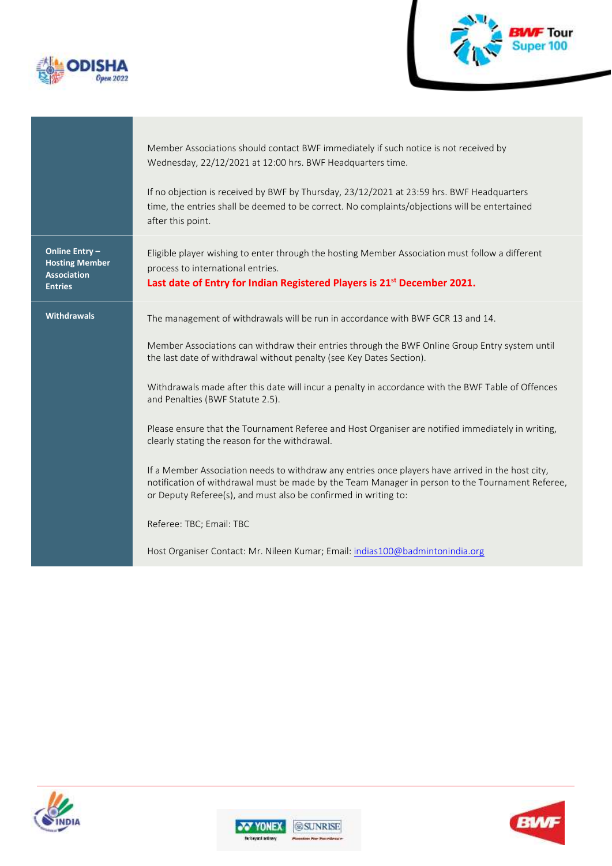



Member Associations should contact BWF immediately if such notice is not received by Wednesday, 22/12/2021 at 12:00 hrs. BWF Headquarters time.

If no objection is received by BWF by Thursday, 23/12/2021 at 23:59 hrs. BWF Headquarters time, the entries shall be deemed to be correct. No complaints/objections will be entertained after this point.

Eligible player wishing to enter through the hosting Member Association must follow a different

**Online Entry – Hosting Member Association Entries**

Withdrawals The management of withdrawals will be run in accordance with BWF GCR 13 and 14.

**Last date of Entry for Indian Registered Players is 21st December 2021.**

Member Associations can withdraw their entries through the BWF Online Group Entry system until the last date of withdrawal without penalty (see Key Dates Section).

Withdrawals made after this date will incur a penalty in accordance with the BWF Table of Offences and Penalties (BWF Statute 2.5).

Please ensure that the Tournament Referee and Host Organiser are notified immediately in writing, clearly stating the reason for the withdrawal.

If a Member Association needs to withdraw any entries once players have arrived in the host city, notification of withdrawal must be made by the Team Manager in person to the Tournament Referee, or Deputy Referee(s), and must also be confirmed in writing to:

Referee: TBC; Email: TBC

process to international entries.

Host Organiser Contact: Mr. Nileen Kumar; Email[: indias100@badmintonindia.org](mailto:indias100@badmintonindia.org)





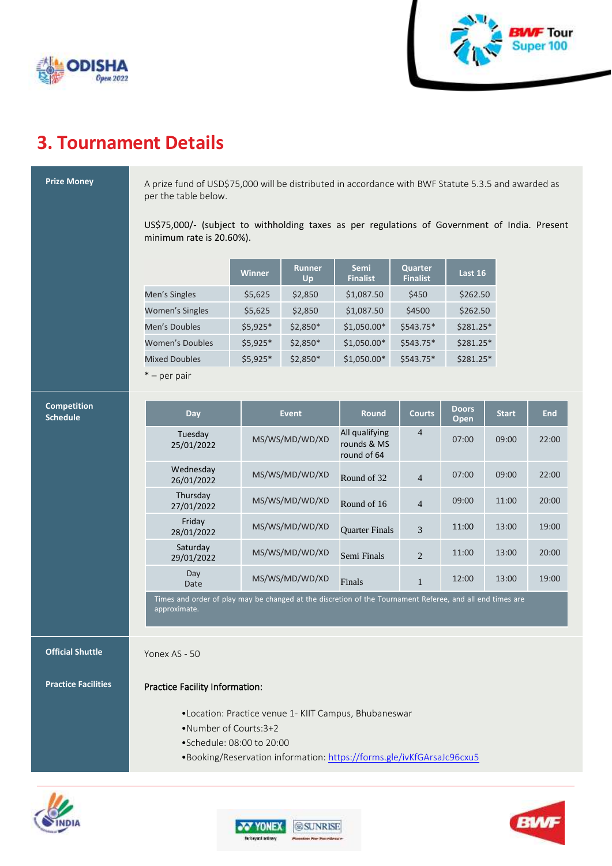



### **3. Tournament Details**

**Prize Money** A prize fund of USD\$75,000 will be distributed in accordance with BWF Statute 5.3.5 and awarded as per the table below.

> US\$75,000/- (subject to withholding taxes as per regulations of Government of India. Present minimum rate is 20.60%).

|                        | <b>Winner</b> | <b>Runner</b><br>Up | <b>Semi</b><br><b>Finalist</b> | Quarter<br><b>Finalist</b> | Last 16    |
|------------------------|---------------|---------------------|--------------------------------|----------------------------|------------|
| Men's Singles          | \$5,625       | \$2,850             | \$1,087.50                     | \$450                      | \$262.50   |
| <b>Women's Singles</b> | \$5,625       | \$2,850             | \$1,087.50                     | \$4500                     | \$262.50   |
| Men's Doubles          | $$5,925*$     | $$2,850*$           | $$1,050.00*$                   | $$543.75*$                 | \$281.25*  |
| <b>Women's Doubles</b> | $$5,925*$     | $$2,850*$           | $$1,050.00*$                   | $$543.75*$                 | $$281.25*$ |
| <b>Mixed Doubles</b>   | $$5,925*$     | \$2,850*            | \$1,050.00*                    | $$543.75*$                 | $$281.25*$ |
| $\ast$<br>-----------  |               |                     |                                |                            |            |

– per pair

| <b>Competition</b><br><b>Schedule</b> | Day                                                                                                                       | <b>Event</b>   | <b>Round</b>                                 | <b>Courts</b>  | <b>Doors</b><br>Open | <b>Start</b> | <b>End</b> |
|---------------------------------------|---------------------------------------------------------------------------------------------------------------------------|----------------|----------------------------------------------|----------------|----------------------|--------------|------------|
|                                       | Tuesday<br>25/01/2022                                                                                                     | MS/WS/MD/WD/XD | All qualifying<br>rounds & MS<br>round of 64 | $\overline{4}$ | 07:00                | 09:00        | 22:00      |
|                                       | Wednesday<br>26/01/2022                                                                                                   | MS/WS/MD/WD/XD | Round of 32                                  | $\overline{4}$ | 07:00                | 09:00        | 22:00      |
|                                       | Thursday<br>27/01/2022                                                                                                    | MS/WS/MD/WD/XD | Round of 16                                  | $\overline{4}$ | 09:00                | 11:00        | 20:00      |
|                                       | Friday<br>28/01/2022                                                                                                      | MS/WS/MD/WD/XD | <b>Ouarter Finals</b>                        | 3              | 11:00                | 13:00        | 19:00      |
|                                       | Saturday<br>29/01/2022                                                                                                    | MS/WS/MD/WD/XD | Semi Finals                                  | $\overline{2}$ | 11:00                | 13:00        | 20:00      |
|                                       | Day<br>Date                                                                                                               | MS/WS/MD/WD/XD | Finals                                       | $\mathbf{1}$   | 12:00                | 13:00        | 19:00      |
|                                       | Times and order of play may be changed at the discretion of the Tournament Referee, and all end times are<br>approximate. |                |                                              |                |                      |              |            |
| <b>Official Shuttle</b>               | Yonex AS - 50                                                                                                             |                |                                              |                |                      |              |            |
| <b>Practice Facilities</b>            | Practice Facility Information:                                                                                            |                |                                              |                |                      |              |            |
|                                       | . Location: Practice venue 1- KIIT Campus, Bhubaneswar<br>•Number of Courts: 3+2                                          |                |                                              |                |                      |              |            |

- •Schedule: 08:00 to 20:00
- •Booking/Reservation information: <https://forms.gle/ivKfGArsaJc96cxu5>





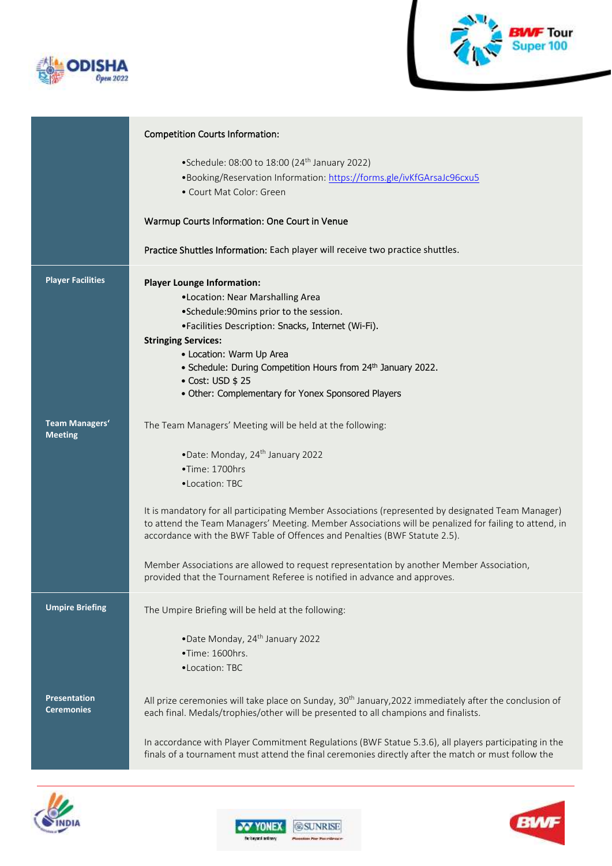



|                                          | <b>Competition Courts Information:</b>                                                                                                                                                                                                                                                                                                                                                                                                                                                                                                                                                                              |
|------------------------------------------|---------------------------------------------------------------------------------------------------------------------------------------------------------------------------------------------------------------------------------------------------------------------------------------------------------------------------------------------------------------------------------------------------------------------------------------------------------------------------------------------------------------------------------------------------------------------------------------------------------------------|
|                                          | • Schedule: 08:00 to 18:00 (24 <sup>th</sup> January 2022)<br>•Booking/Reservation Information: https://forms.gle/ivKfGArsaJc96cxu5<br>• Court Mat Color: Green                                                                                                                                                                                                                                                                                                                                                                                                                                                     |
|                                          | Warmup Courts Information: One Court in Venue                                                                                                                                                                                                                                                                                                                                                                                                                                                                                                                                                                       |
|                                          | Practice Shuttles Information: Each player will receive two practice shuttles.                                                                                                                                                                                                                                                                                                                                                                                                                                                                                                                                      |
| <b>Player Facilities</b>                 | <b>Player Lounge Information:</b><br>•Location: Near Marshalling Area<br>•Schedule:90mins prior to the session.<br>•Facilities Description: Snacks, Internet (Wi-Fi).<br><b>Stringing Services:</b><br>• Location: Warm Up Area<br>• Schedule: During Competition Hours from 24th January 2022.<br>• Cost: USD \$ 25<br>• Other: Complementary for Yonex Sponsored Players                                                                                                                                                                                                                                          |
| <b>Team Managers'</b><br><b>Meeting</b>  | The Team Managers' Meeting will be held at the following:<br>•Date: Monday, 24 <sup>th</sup> January 2022<br>•Time: 1700hrs<br>•Location: TBC<br>It is mandatory for all participating Member Associations (represented by designated Team Manager)<br>to attend the Team Managers' Meeting. Member Associations will be penalized for failing to attend, in<br>accordance with the BWF Table of Offences and Penalties (BWF Statute 2.5).<br>Member Associations are allowed to request representation by another Member Association,<br>provided that the Tournament Referee is notified in advance and approves. |
| <b>Umpire Briefing</b>                   | The Umpire Briefing will be held at the following:<br>•Date Monday, 24 <sup>th</sup> January 2022<br>•Time: 1600hrs.<br>•Location: TBC                                                                                                                                                                                                                                                                                                                                                                                                                                                                              |
| <b>Presentation</b><br><b>Ceremonies</b> | All prize ceremonies will take place on Sunday, 30 <sup>th</sup> January, 2022 immediately after the conclusion of<br>each final. Medals/trophies/other will be presented to all champions and finalists.<br>In accordance with Player Commitment Regulations (BWF Statue 5.3.6), all players participating in the<br>finals of a tournament must attend the final ceremonies directly after the match or must follow the                                                                                                                                                                                           |





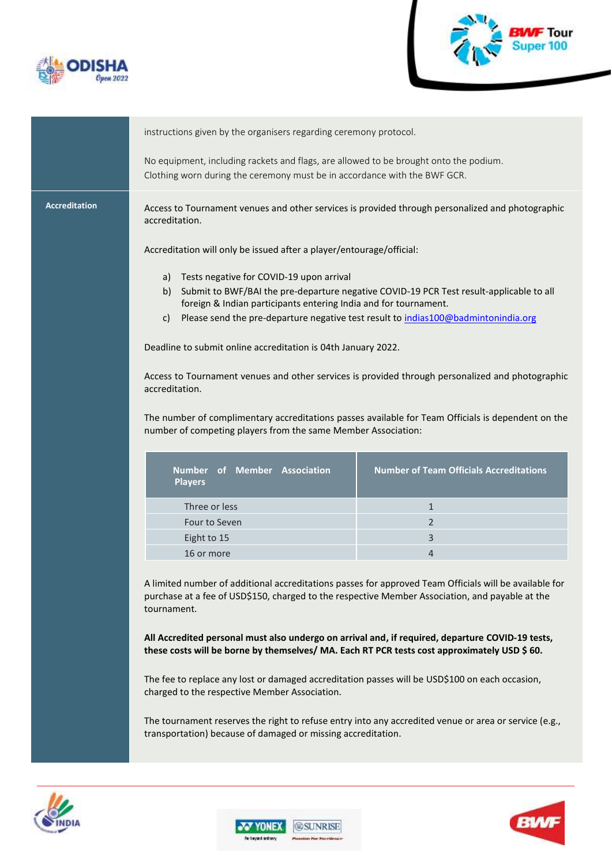



instructions given by the organisers regarding ceremony protocol. No equipment, including rackets and flags, are allowed to be brought onto the podium. Clothing worn during the ceremony must be in accordance with the BWF GCR. **Accreditation** Access to Tournament venues and other services is provided through personalized and photographic accreditation. Accreditation will only be issued after a player/entourage/official: a) Tests negative for COVID-19 upon arrival b) Submit to BWF/BAI the pre-departure negative COVID-19 PCR Test result-applicable to all foreign & Indian participants entering India and for tournament. c) Please send the pre-departure negative test result t[o indias100@badmintonindia.org](mailto:indias100@badmintonindia.org) Deadline to submit online accreditation is 04th January 2022. Access to Tournament venues and other services is provided through personalized and photographic accreditation. The number of complimentary accreditations passes available for Team Officials is dependent on the number of competing players from the same Member Association: **Number of Team Officials Accreditations Number of Member Association Players** Three or less 1 and 1 and 1 and 1 and 1 and 1 and 1 and 1 and 1 and 1 and 1 and 1 and 1 and 1 and 1 and 1 and 1 Four to Seven 2 Eight to 15 3 16 or more 4 and 200 minutes and 200 minutes and 200 minutes and 4 A limited number of additional accreditations passes for approved Team Officials will be available for purchase at a fee of USD\$150, charged to the respective Member Association, and payable at the tournament. **All Accredited personal must also undergo on arrival and, if required, departure COVID-19 tests, these costs will be borne by themselves/ MA. Each RT PCR tests cost approximately USD \$ 60.** The fee to replace any lost or damaged accreditation passes will be USD\$100 on each occasion, charged to the respective Member Association. The tournament reserves the right to refuse entry into any accredited venue or area or service (e.g., transportation) because of damaged or missing accreditation.**@SUNRISE UNEX**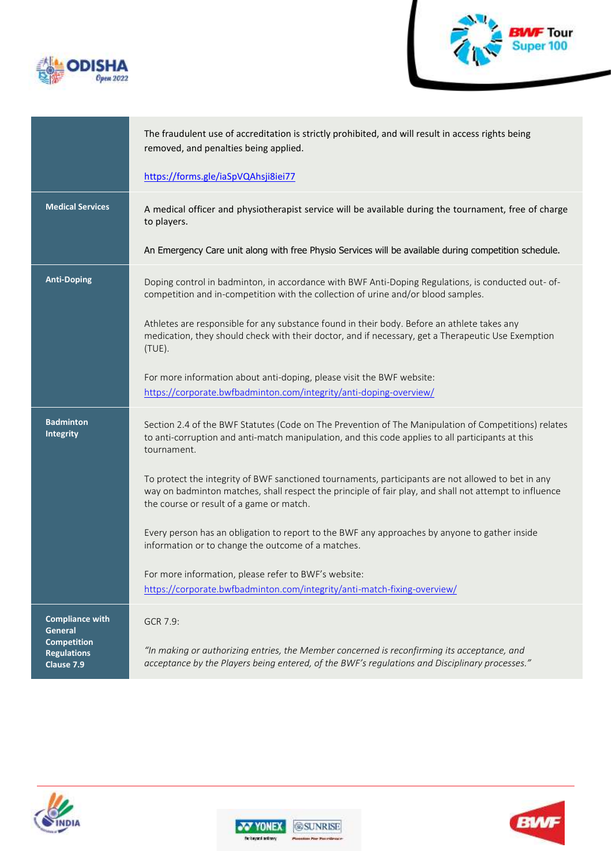



|                                                                                             | The fraudulent use of accreditation is strictly prohibited, and will result in access rights being<br>removed, and penalties being applied.                                                                                                              |
|---------------------------------------------------------------------------------------------|----------------------------------------------------------------------------------------------------------------------------------------------------------------------------------------------------------------------------------------------------------|
|                                                                                             | https://forms.gle/iaSpVQAhsji8iei77                                                                                                                                                                                                                      |
| <b>Medical Services</b>                                                                     | A medical officer and physiotherapist service will be available during the tournament, free of charge<br>to players.                                                                                                                                     |
|                                                                                             | An Emergency Care unit along with free Physio Services will be available during competition schedule.                                                                                                                                                    |
| <b>Anti-Doping</b>                                                                          | Doping control in badminton, in accordance with BWF Anti-Doping Regulations, is conducted out-of-<br>competition and in-competition with the collection of urine and/or blood samples.                                                                   |
|                                                                                             | Athletes are responsible for any substance found in their body. Before an athlete takes any<br>medication, they should check with their doctor, and if necessary, get a Therapeutic Use Exemption<br>(TUE).                                              |
|                                                                                             | For more information about anti-doping, please visit the BWF website:<br>https://corporate.bwfbadminton.com/integrity/anti-doping-overview/                                                                                                              |
| <b>Badminton</b><br>Integrity                                                               | Section 2.4 of the BWF Statutes (Code on The Prevention of The Manipulation of Competitions) relates<br>to anti-corruption and anti-match manipulation, and this code applies to all participants at this<br>tournament.                                 |
|                                                                                             | To protect the integrity of BWF sanctioned tournaments, participants are not allowed to bet in any<br>way on badminton matches, shall respect the principle of fair play, and shall not attempt to influence<br>the course or result of a game or match. |
|                                                                                             | Every person has an obligation to report to the BWF any approaches by anyone to gather inside<br>information or to change the outcome of a matches.                                                                                                      |
|                                                                                             | For more information, please refer to BWF's website:<br>https://corporate.bwfbadminton.com/integrity/anti-match-fixing-overview/                                                                                                                         |
| <b>Compliance with</b><br>General<br><b>Competition</b><br><b>Regulations</b><br>Clause 7.9 | GCR 7.9:<br>"In making or authorizing entries, the Member concerned is reconfirming its acceptance, and<br>acceptance by the Players being entered, of the BWF's regulations and Disciplinary processes."                                                |







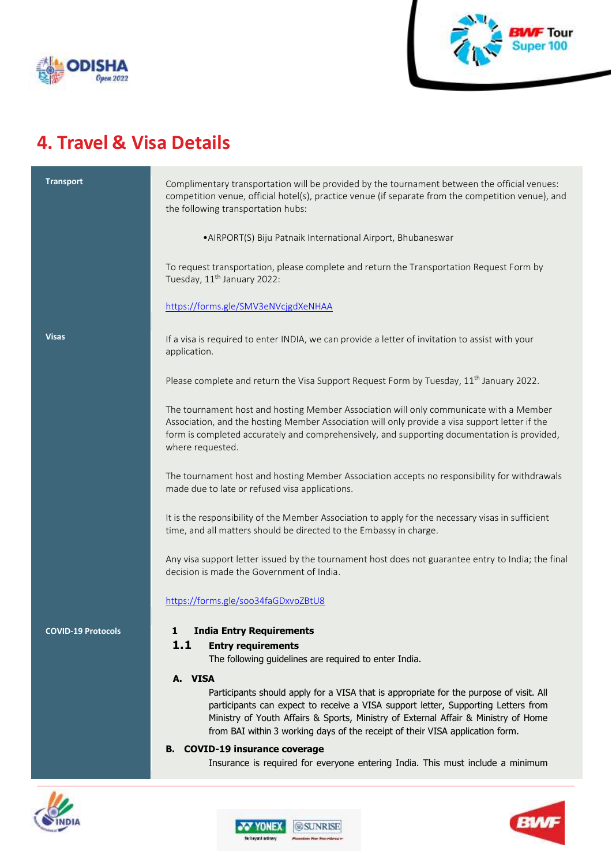



## **4. Travel & Visa Details**

| <b>Transport</b>          | Complimentary transportation will be provided by the tournament between the official venues:<br>competition venue, official hotel(s), practice venue (if separate from the competition venue), and<br>the following transportation hubs:<br>• AIRPORT(S) Biju Patnaik International Airport, Bhubaneswar                                                      |  |  |  |  |
|---------------------------|---------------------------------------------------------------------------------------------------------------------------------------------------------------------------------------------------------------------------------------------------------------------------------------------------------------------------------------------------------------|--|--|--|--|
|                           |                                                                                                                                                                                                                                                                                                                                                               |  |  |  |  |
|                           | To request transportation, please complete and return the Transportation Request Form by<br>Tuesday, 11 <sup>th</sup> January 2022:                                                                                                                                                                                                                           |  |  |  |  |
|                           | https://forms.gle/SMV3eNVcjgdXeNHAA                                                                                                                                                                                                                                                                                                                           |  |  |  |  |
| <b>Visas</b>              | If a visa is required to enter INDIA, we can provide a letter of invitation to assist with your<br>application.                                                                                                                                                                                                                                               |  |  |  |  |
|                           | Please complete and return the Visa Support Request Form by Tuesday, 11 <sup>th</sup> January 2022.                                                                                                                                                                                                                                                           |  |  |  |  |
|                           | The tournament host and hosting Member Association will only communicate with a Member<br>Association, and the hosting Member Association will only provide a visa support letter if the<br>form is completed accurately and comprehensively, and supporting documentation is provided,<br>where requested.                                                   |  |  |  |  |
|                           | The tournament host and hosting Member Association accepts no responsibility for withdrawals<br>made due to late or refused visa applications.                                                                                                                                                                                                                |  |  |  |  |
|                           | It is the responsibility of the Member Association to apply for the necessary visas in sufficient<br>time, and all matters should be directed to the Embassy in charge.                                                                                                                                                                                       |  |  |  |  |
|                           | Any visa support letter issued by the tournament host does not guarantee entry to India; the final<br>decision is made the Government of India.                                                                                                                                                                                                               |  |  |  |  |
|                           | https://forms.gle/soo34faGDxvoZBtU8                                                                                                                                                                                                                                                                                                                           |  |  |  |  |
| <b>COVID-19 Protocols</b> | <b>India Entry Requirements</b><br>1<br>1.1<br><b>Entry requirements</b><br>The following guidelines are required to enter India.                                                                                                                                                                                                                             |  |  |  |  |
|                           | A. VISA<br>Participants should apply for a VISA that is appropriate for the purpose of visit. All<br>participants can expect to receive a VISA support letter, Supporting Letters from<br>Ministry of Youth Affairs & Sports, Ministry of External Affair & Ministry of Home<br>from BAI within 3 working days of the receipt of their VISA application form. |  |  |  |  |
|                           | <b>B. COVID-19 insurance coverage</b><br>Insurance is required for everyone entering India. This must include a minimum                                                                                                                                                                                                                                       |  |  |  |  |





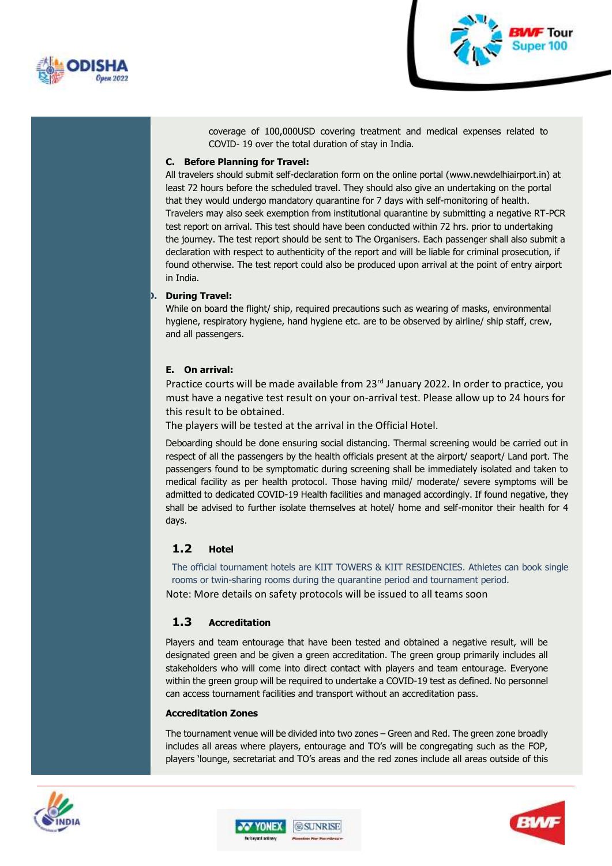



coverage of 100,000USD covering treatment and medical expenses related to COVID- 19 over the total duration of stay in India.

#### **C. Before Planning for Travel:**

All travelers should submit self-declaration form on the online portal [\(www.newdelhiairport.in\)](http://www.newdelhiairport.in/) at least 72 hours before the scheduled travel. They should also give an undertaking on the portal that they would undergo mandatory quarantine for 7 days with self-monitoring of health. Travelers may also seek exemption from institutional quarantine by submitting a negative RT-PCR test report on arrival. This test should have been conducted within 72 hrs. prior to undertaking the journey. The test report should be sent to The Organisers. Each passenger shall also submit a declaration with respect to authenticity of the report and will be liable for criminal prosecution, if found otherwise. The test report could also be produced upon arrival at the point of entry airport in India.

#### **D. During Travel:**

While on board the flight/ ship, required precautions such as wearing of masks, environmental hygiene, respiratory hygiene, hand hygiene etc. are to be observed by airline/ ship staff, crew, and all passengers.

#### **E. On arrival:**

Practice courts will be made available from 23<sup>rd</sup> January 2022. In order to practice, you must have a negative test result on your on-arrival test. Please allow up to 24 hours for this result to be obtained.

The players will be tested at the arrival in the Official Hotel.

Deboarding should be done ensuring social distancing. Thermal screening would be carried out in respect of all the passengers by the health officials present at the airport/ seaport/ Land port. The passengers found to be symptomatic during screening shall be immediately isolated and taken to medical facility as per health protocol. Those having mild/ moderate/ severe symptoms will be admitted to dedicated COVID-19 Health facilities and managed accordingly. If found negative, they shall be advised to further isolate themselves at hotel/ home and self-monitor their health for 4 days.

#### **1.2 Hotel**

The official tournament hotels are KIIT TOWERS & KIIT RESIDENCIES. Athletes can book single rooms or twin-sharing rooms during the quarantine period and tournament period. Note: More details on safety protocols will be issued to all teams soon

#### **1.3 Accreditation**

Players and team entourage that have been tested and obtained a negative result, will be designated green and be given a green accreditation. The green group primarily includes all stakeholders who will come into direct contact with players and team entourage. Everyone within the green group will be required to undertake a COVID-19 test as defined. No personnel can access tournament facilities and transport without an accreditation pass.

#### **Accreditation Zones**

The tournament venue will be divided into two zones – Green and Red. The green zone broadly includes all areas where players, entourage and TO's will be congregating such as the FOP, players 'lounge, secretariat and TO's areas and the red zones include all areas outside of this





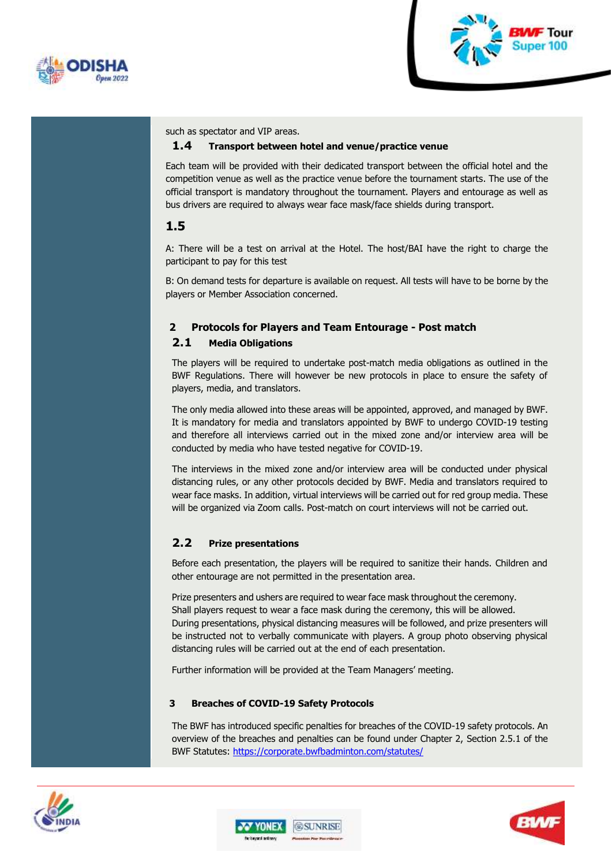



such as spectator and VIP areas.

#### **1.4 Transport between hotel and venue/practice venue**

Each team will be provided with their dedicated transport between the official hotel and the competition venue as well as the practice venue before the tournament starts. The use of the official transport is mandatory throughout the tournament. Players and entourage as well as bus drivers are required to always wear face mask/face shields during transport.

### **1.5**

A: There will be a test on arrival at the Hotel. The host/BAI have the right to charge the participant to pay for this test

B: On demand tests for departure is available on request. All tests will have to be borne by the players or Member Association concerned.

### **2 Protocols for Players and Team Entourage - Post match**

#### **2.1 Media Obligations**

The players will be required to undertake post-match media obligations as outlined in the BWF Regulations. There will however be new protocols in place to ensure the safety of players, media, and translators.

The only media allowed into these areas will be appointed, approved, and managed by BWF. It is mandatory for media and translators appointed by BWF to undergo COVID-19 testing and therefore all interviews carried out in the mixed zone and/or interview area will be conducted by media who have tested negative for COVID-19.

The interviews in the mixed zone and/or interview area will be conducted under physical distancing rules, or any other protocols decided by BWF. Media and translators required to wear face masks. In addition, virtual interviews will be carried out for red group media. These will be organized via Zoom calls. Post-match on court interviews will not be carried out.

#### **2.2 Prize presentations**

Before each presentation, the players will be required to sanitize their hands. Children and other entourage are not permitted in the presentation area.

Prize presenters and ushers are required to wear face mask throughout the ceremony. Shall players request to wear a face mask during the ceremony, this will be allowed. During presentations, physical distancing measures will be followed, and prize presenters will be instructed not to verbally communicate with players. A group photo observing physical distancing rules will be carried out at the end of each presentation.

Further information will be provided at the Team Managers' meeting.

#### **3 Breaches of COVID-19 Safety Protocols**

The BWF has introduced specific penalties for breaches of the COVID-19 safety protocols. An overview of the breaches and penalties can be found under Chapter 2, Section 2.5.1 of the BWF Statutes: <https://corporate.bwfbadminton.com/statutes/>





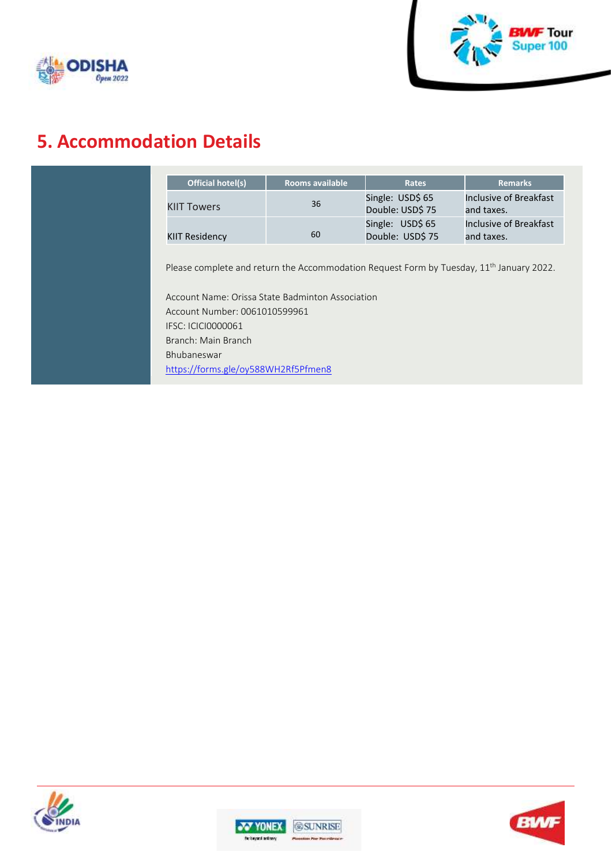



## **5. Accommodation Details**

| Official hotel(s)                                                                                       | <b>Rooms available</b> | <b>Rates</b>                         | <b>Remarks</b>                       |
|---------------------------------------------------------------------------------------------------------|------------------------|--------------------------------------|--------------------------------------|
| <b>KIIT Towers</b>                                                                                      | 36                     | Single: USD\$ 65<br>Double: USD\$ 75 | Inclusive of Breakfast<br>and taxes. |
| <b>KIIT Residency</b>                                                                                   | 60                     | Single: USD\$ 65<br>Double: USD\$ 75 | Inclusive of Breakfast<br>and taxes. |
|                                                                                                         |                        |                                      |                                      |
| Please complete and return the Accommodation Request Form by Tuesday, 11 <sup>th</sup> January 2022.    |                        |                                      |                                      |
|                                                                                                         |                        |                                      |                                      |
|                                                                                                         |                        |                                      |                                      |
| Account Name: Orissa State Badminton Association<br>Account Number: 0061010599961<br>IFSC: ICICI0000061 |                        |                                      |                                      |
| Branch: Main Branch                                                                                     |                        |                                      |                                      |
| Bhubaneswar                                                                                             |                        |                                      |                                      |